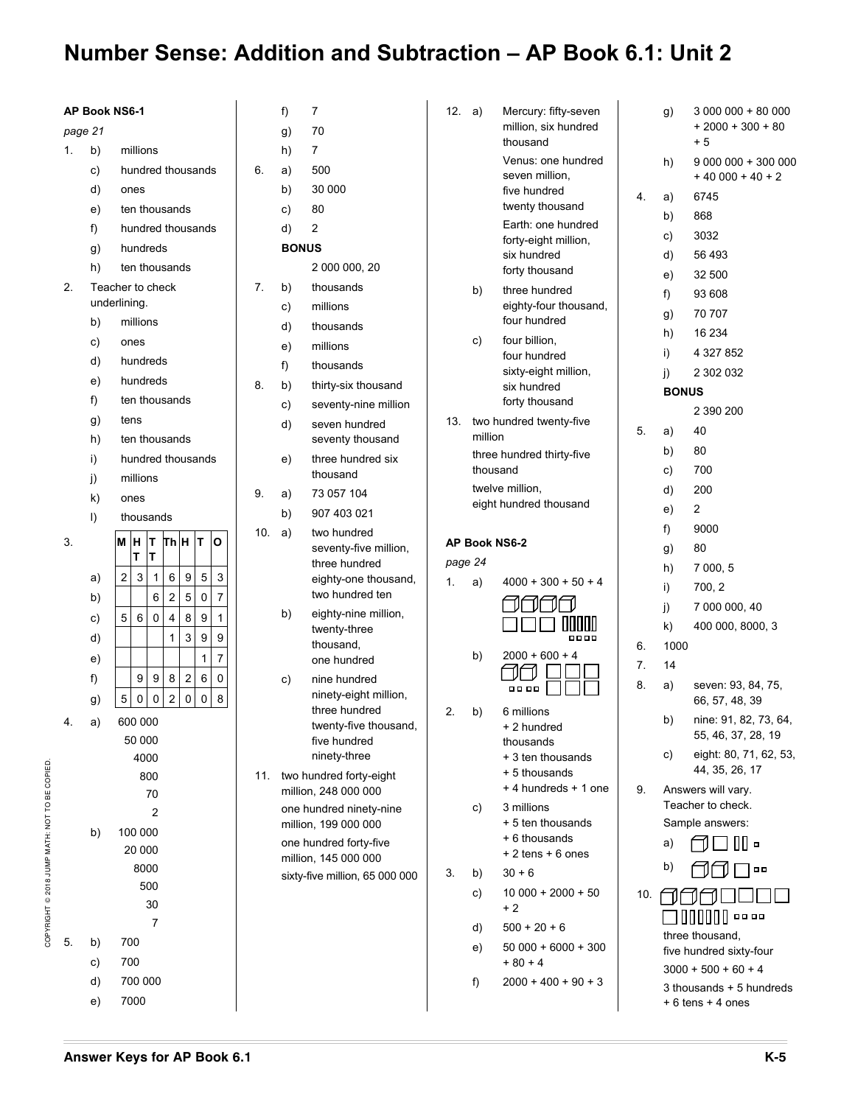| <b>AP Book NS6-1</b> |           |                                                                                                   |     | f)           | 7                                              | 12. a)  |          | Mercury: fifty-seven                 |     | g)           | 3 000 000 + 80 000                  |
|----------------------|-----------|---------------------------------------------------------------------------------------------------|-----|--------------|------------------------------------------------|---------|----------|--------------------------------------|-----|--------------|-------------------------------------|
| page 21              |           |                                                                                                   |     | g)           | 70                                             |         |          | million, six hundred                 |     |              | $+2000 + 300 + 80$<br>$+5$          |
| 1.                   | b)        | millions                                                                                          |     | h)           | 7                                              |         |          | thousand<br>Venus: one hundred       |     |              |                                     |
|                      | c)        | hundred thousands                                                                                 | 6.  | a)           | 500                                            |         |          | seven million,                       |     | h)           | $9000000 + 300000$<br>$+40000+40+2$ |
|                      | d)        | ones                                                                                              |     | b)           | 30 000                                         |         |          | five hundred                         | 4.  | a)           | 6745                                |
|                      | e)        | ten thousands                                                                                     |     | C)           | 80                                             |         |          | twenty thousand                      |     | b)           | 868                                 |
|                      | f)        | hundred thousands                                                                                 |     | d)           | 2                                              |         |          | Earth: one hundred                   |     | C)           | 3032                                |
|                      | g)        | hundreds                                                                                          |     | <b>BONUS</b> |                                                |         |          | forty-eight million,<br>six hundred  |     | d)           | 56 493                              |
|                      | h)        | ten thousands                                                                                     |     |              | 2 000 000, 20                                  |         |          | forty thousand                       |     | e)           | 32 500                              |
| 2.                   |           | Teacher to check                                                                                  | 7.  | b)           | thousands                                      |         | b)       | three hundred                        |     | f)           | 93 608                              |
|                      |           | underlining.                                                                                      |     | C)           | millions                                       |         |          | eighty-four thousand,                |     | g)           | 70 707                              |
|                      | b)        | millions                                                                                          |     | d)           | thousands                                      |         |          | four hundred                         |     | h)           | 16 234                              |
|                      | C)        | ones                                                                                              |     | e)           | millions                                       |         | C)       | four billion,                        |     | i)           | 4 327 852                           |
|                      | d)        | hundreds                                                                                          |     | f)           | thousands                                      |         |          | four hundred<br>sixty-eight million, |     | j)           | 2 302 032                           |
|                      | e)        | hundreds                                                                                          | 8.  | b)           | thirty-six thousand                            |         |          | six hundred                          |     | <b>BONUS</b> |                                     |
|                      | f)        | ten thousands                                                                                     |     | c)           | seventy-nine million                           |         |          | forty thousand                       |     |              | 2 390 200                           |
|                      | g)        | tens                                                                                              |     | d)           | seven hundred                                  | 13.     |          | two hundred twenty-five              | 5.  | a)           | 40                                  |
|                      | h)        | ten thousands                                                                                     |     |              | seventy thousand                               |         | million  |                                      |     | b)           | 80                                  |
|                      | i)        | hundred thousands                                                                                 |     | e)           | three hundred six                              |         | thousand | three hundred thirty-five            |     | C)           | 700                                 |
|                      | j)        | millions                                                                                          |     |              | thousand                                       |         |          | twelve million,                      |     | d)           | 200                                 |
|                      | k)        | ones                                                                                              | 9.  | a)           | 73 057 104                                     |         |          | eight hundred thousand               |     |              | $\overline{c}$                      |
|                      | $\vert$ ) | thousands                                                                                         |     | b)           | 907 403 021                                    |         |          |                                      |     | e)<br>f)     | 9000                                |
| 3.                   |           | ThH T<br>M H<br>lo<br>IТ.                                                                         | 10. | a)           | two hundred<br>seventy-five million,           |         |          | AP Book NS6-2                        |     |              | 80                                  |
|                      |           | T<br>т                                                                                            |     |              | three hundred                                  | page 24 |          |                                      |     | g)           | 7 000, 5                            |
|                      | a)        | $\boldsymbol{9}$<br>$\mathbf 5$<br>$\mathbf{3}$<br>$\,6\,$<br>3<br>$\overline{c}$<br>$\mathbf{1}$ |     |              | eighty-one thousand,                           | 1.      | a)       | $4000 + 300 + 50 + 4$                |     | h)           |                                     |
|                      | b)        | $\mathbf{2}$<br>5<br>6<br>7<br>0                                                                  |     |              | two hundred ten                                |         |          |                                      |     | i)           | 700, 2                              |
|                      | c)        | $\bf 8$<br>$6\phantom{1}6$<br>9<br>$\mathbf 0$<br>$\overline{4}$<br>$\mathbf{1}$<br>5             |     | b)           | eighty-nine million,                           |         |          | <u>טטמה</u>                          |     | j)           | 7 000 000, 40<br>400 000, 8000, 3   |
|                      | d)        | 3<br>9<br>9<br>1                                                                                  |     |              | twenty-three<br>thousand,                      |         |          | 0000                                 | 6.  | k)<br>1000   |                                     |
|                      | e)        | 7<br>$\mathbf{1}$                                                                                 |     |              | one hundred                                    |         | b)       | $2000 + 600 + 4$                     | 7.  | 14           |                                     |
|                      | f)        | $\sqrt{2}$<br>$\bf 8$<br>6<br>9<br>9<br>0                                                         |     | C)           | nine hundred                                   |         |          |                                      | 8.  | a)           | seven: 93, 84, 75,                  |
|                      | g)        | $\mathsf 0$<br>$\overline{2}$<br>$\mathsf{O}\xspace$<br>8<br>5<br>$\mathsf 0$<br>$\mathsf 0$      |     |              | ninety-eight million,                          |         |          | <b>0000</b>                          |     |              | 66, 57, 48, 39                      |
| 4.                   | a)        | 600 000                                                                                           |     |              | three hundred                                  | 2.      | b)       | 6 millions                           |     | b)           | nine: 91, 82, 73, 64,               |
|                      |           | 50 000                                                                                            |     |              | twenty-five thousand,<br>five hundred          |         |          | + 2 hundred<br>thousands             |     |              | 55, 46, 37, 28, 19                  |
|                      |           | 4000                                                                                              |     |              | ninety-three                                   |         |          | + 3 ten thousands                    |     | C)           | eight: 80, 71, 62, 53,              |
|                      |           | 800                                                                                               |     |              | 11. two hundred forty-eight                    |         |          | + 5 thousands                        |     |              | 44, 35, 26, 17                      |
|                      |           | 70                                                                                                |     |              | million, 248 000 000                           |         |          | +4 hundreds + 1 one                  | 9.  |              | Answers will vary.                  |
|                      |           | 2                                                                                                 |     |              | one hundred ninety-nine                        |         | C)       | 3 millions                           |     |              | Teacher to check.                   |
|                      | b)        | 100 000                                                                                           |     |              | million, 199 000 000                           |         |          | + 5 ten thousands<br>+ 6 thousands   |     |              | Sample answers:                     |
|                      |           | 20 000                                                                                            |     |              | one hundred forty-five<br>million, 145 000 000 |         |          | $+2$ tens $+6$ ones                  |     | a)           | 매                                   |
|                      |           | 8000                                                                                              |     |              | sixty-five million, 65 000 000                 | 3.      | b)       | $30 + 6$                             |     | b)           | $\Box$ $\Box$                       |
|                      |           | 500                                                                                               |     |              |                                                |         | C)       | $10000 + 2000 + 50$                  | 10. |              |                                     |
|                      |           | 30                                                                                                |     |              |                                                |         |          | $+2$                                 |     |              | 00000<br><b>00 00</b>               |
|                      |           | 7                                                                                                 |     |              |                                                |         | d)       | $500 + 20 + 6$                       |     |              | three thousand,                     |
| 5.                   | b)        | 700                                                                                               |     |              |                                                |         | e)       | $50000 + 6000 + 300$                 |     |              | five hundred sixty-four             |
|                      | C)        | 700                                                                                               |     |              |                                                |         |          | $+80+4$                              |     |              | $3000 + 500 + 60 + 4$               |
|                      | d)        | 700 000                                                                                           |     |              |                                                |         | f)       | $2000 + 400 + 90 + 3$                |     |              | 3 thousands + 5 hundreds            |
|                      | e)        | 7000                                                                                              |     |              |                                                |         |          |                                      |     |              | + 6 tens + 4 ones                   |

COPYRIGHT © 2018 JUMP MATH: NOT TO BE COPIED.

COPYRIGHT @ 2018 JUMP MATH: NOT TO BE COPIED.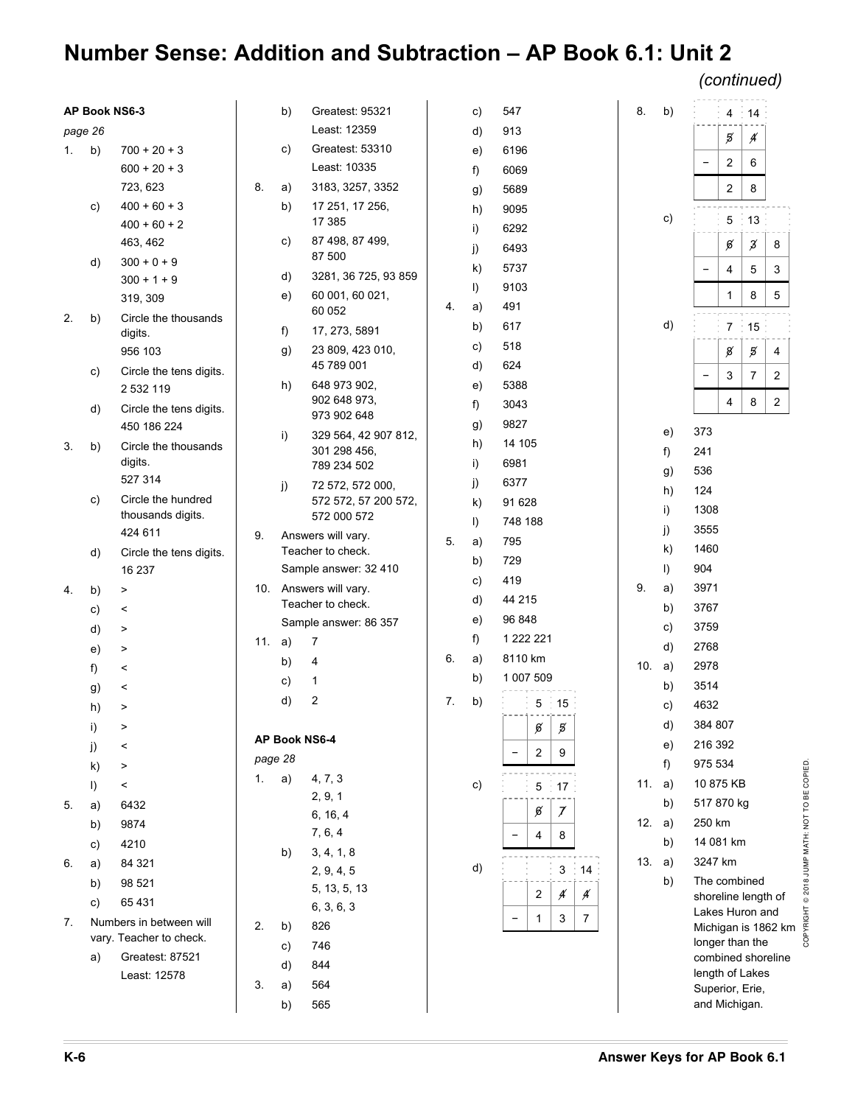*(continued)*

| AP Book NS6-3 |         |                                      |        | b)           | Greatest: 95321                             |    | C)      | 547                                                             | 8. | b)     |                                        |                | 4 14           |                     |
|---------------|---------|--------------------------------------|--------|--------------|---------------------------------------------|----|---------|-----------------------------------------------------------------|----|--------|----------------------------------------|----------------|----------------|---------------------|
| page 26       |         |                                      |        |              | Least: 12359                                |    | d)      | 913                                                             |    |        |                                        | 5              | Á              |                     |
| 1.            | b)      | $700 + 20 + 3$                       |        | C)           | Greatest: 53310                             |    | e)      | 6196                                                            |    |        |                                        |                |                |                     |
|               |         | $600 + 20 + 3$                       |        |              | Least: 10335                                |    | f)      | 6069                                                            |    |        | $\overline{\phantom{a}}$               | $\overline{2}$ | 6              |                     |
|               |         | 723, 623                             | 8.     | a)           | 3183, 3257, 3352                            |    | g)      | 5689                                                            |    |        |                                        | $\overline{c}$ | 8              |                     |
|               | C)      | $400 + 60 + 3$                       |        | b)           | 17 251, 17 256,                             |    | h)      | 9095                                                            |    |        |                                        |                |                |                     |
|               |         | $400 + 60 + 2$                       |        |              | 17 385                                      |    | i)      | 6292                                                            |    | c)     |                                        |                | $5 \div 13$    |                     |
|               |         | 463, 462                             |        | C)           | 87 498, 87 499,                             |    | j)      | 6493                                                            |    |        |                                        | ø              | z              | 8                   |
|               | d)      | $300 + 0 + 9$                        |        |              | 87 500                                      |    | k)      | 5737                                                            |    |        | $\overline{\phantom{a}}$               | 4              | 5              | $\mathbf{3}$        |
|               |         | $300 + 1 + 9$                        |        | d)           | 3281, 36 725, 93 859                        |    | $\vert$ | 9103                                                            |    |        |                                        |                |                |                     |
|               |         | 319, 309                             |        | e)           | 60 001, 60 021,<br>60 052                   | 4. | a)      | 491                                                             |    |        |                                        | $\mathbf{1}$   | 8              | $5\phantom{.0}$     |
| 2.            | b)      | Circle the thousands                 |        | f)           | 17, 273, 5891                               |    | b)      | 617                                                             |    | d)     |                                        |                | $7 \div 15$    |                     |
|               |         | digits.<br>956 103                   |        | g)           | 23 809, 423 010,                            |    | c)      | 518                                                             |    |        |                                        | $\emph{g}$     | 5              |                     |
|               |         |                                      |        |              | 45 789 001                                  |    | d)      | 624                                                             |    |        |                                        |                |                | 4                   |
|               | C)      | Circle the tens digits.<br>2 532 119 |        | h)           | 648 973 902,                                |    | e)      | 5388                                                            |    |        |                                        | 3              | $\overline{7}$ | $\overline{2}$      |
|               | d)      | Circle the tens digits.              |        |              | 902 648 973,                                |    | f)      | 3043                                                            |    |        |                                        | 4              | 8              | $\overline{2}$      |
|               |         | 450 186 224                          |        |              | 973 902 648                                 |    | g)      | 9827                                                            |    |        |                                        |                |                |                     |
| 3.            | b)      | Circle the thousands                 |        | i)           | 329 564, 42 907 812,                        |    | h)      | 14 105                                                          |    | e)     | 373                                    |                |                |                     |
|               |         | digits.                              |        |              | 301 298 456,<br>789 234 502                 |    | i)      | 6981                                                            |    | f)     | 241                                    |                |                |                     |
|               |         | 527 314                              |        | $\mathbf{j}$ | 72 572, 572 000,                            |    | j)      | 6377                                                            |    | g)     | 536                                    |                |                |                     |
|               | C)      | Circle the hundred                   |        |              | 572 572, 57 200 572,                        |    | k)      | 91 628                                                          |    | h)     | 124                                    |                |                |                     |
|               |         | thousands digits.                    |        |              | 572 000 572                                 |    | $\vert$ | 748 188                                                         |    | i)     | 1308                                   |                |                |                     |
|               |         | 424 611                              | 9.     |              | Answers will vary.                          | 5. | a)      | 795                                                             |    | j)     | 3555                                   |                |                |                     |
|               | d)      | Circle the tens digits.              |        |              | Teacher to check.                           |    | b)      | 729                                                             |    | k)     | 1460                                   |                |                |                     |
|               |         | 16 237                               |        |              | Sample answer: 32 410                       |    | C)      | 419                                                             |    | I)     | 904                                    |                |                |                     |
| 4.            | b)      | $\, > \,$                            |        |              | 10. Answers will vary.<br>Teacher to check. |    | d)      | 44 215                                                          | 9. | a)     | 3971                                   |                |                |                     |
|               | c)      | $\,<$                                |        |              | Sample answer: 86 357                       |    | e)      | 96 848                                                          |    | b)     | 3767                                   |                |                |                     |
|               | d)      | $\,$                                 | 11. a) |              | 7                                           |    | f)      | 1 222 221                                                       |    | c)     | 3759                                   |                |                |                     |
|               | e)      | $\, > \,$                            |        | b)           | 4                                           | 6. | a)      | 8110 km                                                         |    | d)     | 2768                                   |                |                |                     |
|               | f)      | $\,<\,$                              |        | c)           | 1                                           |    | b)      | 1 007 509                                                       |    | 10. a) | 2978                                   |                |                |                     |
|               | g)      | $\,<\,$                              |        | d)           | $\overline{\mathbf{c}}$                     | 7. |         |                                                                 |    | b)     | 3514                                   |                |                |                     |
|               | h)      | $\, > \,$                            |        |              |                                             |    | b)      | 5:15                                                            |    | c)     | 4632                                   |                |                |                     |
|               | i)      |                                      |        |              | AP Book NS6-4                               |    |         | $\mathfrak{g} \mid \mathfrak{g}$                                |    | d)     | 384 807                                |                |                |                     |
|               | j)      | $\,<$                                |        | page 28      |                                             |    |         | $\overline{2}$<br>9                                             |    | e)     | 216 392                                |                |                |                     |
|               | k)      | $\, > \,$                            | 1.     | a)           | 4, 7, 3                                     |    |         |                                                                 |    | $f$ )  | 975 534                                |                |                |                     |
|               | $\vert$ | $\,<\,$                              |        |              | 2, 9, 1                                     |    | c)      | 5:17:                                                           |    | 11. a) | 10 875 KB                              |                |                |                     |
| 5.            | a)      | 6432                                 |        |              | 6, 16, 4                                    |    |         | ø<br>$\mathcal{I}$                                              |    | b)     | 517 870 kg                             |                |                |                     |
|               | b)      | 9874                                 |        |              | 7, 6, 4                                     |    |         | 8<br>4                                                          |    | 12. a) | 250 km                                 |                |                |                     |
|               | c)      | 4210                                 |        | b)           | 3, 4, 1, 8                                  |    |         |                                                                 |    | b)     | 14 081 km                              |                |                |                     |
| 6.            | a)      | 84 321                               |        |              | 2, 9, 4, 5                                  |    | d)      | 3 <sup>1</sup><br>$\div$ 14 $\div$                              |    | 13. a) | 3247 km                                |                |                |                     |
|               | b)      | 98 521                               |        |              | 5, 13, 5, 13                                |    |         | Á<br>$\overline{2}$<br>Á                                        |    | b)     | The combined                           |                |                |                     |
|               | c)      | 65 431                               |        |              | 6, 3, 6, 3                                  |    |         |                                                                 |    |        | shoreline length of<br>Lakes Huron and |                |                |                     |
| 7.            |         | Numbers in between will              | 2.     | b)           | 826                                         |    |         | $\mathbf{1}$<br>3<br>$\overline{7}$<br>$\overline{\phantom{a}}$ |    |        |                                        |                |                | Michigan is 1862 km |
|               |         | vary. Teacher to check.              |        | C)           | 746                                         |    |         |                                                                 |    |        | longer than the                        |                |                |                     |
|               | a)      | Greatest: 87521                      |        | d)           | 844                                         |    |         |                                                                 |    |        | combined shoreline<br>length of Lakes  |                |                |                     |
|               |         | Least: 12578                         | 3.     | a)           | 564                                         |    |         |                                                                 |    |        | Superior, Erie,                        |                |                |                     |
|               |         |                                      |        | b)           | 565                                         |    |         |                                                                 |    |        | and Michigan.                          |                |                |                     |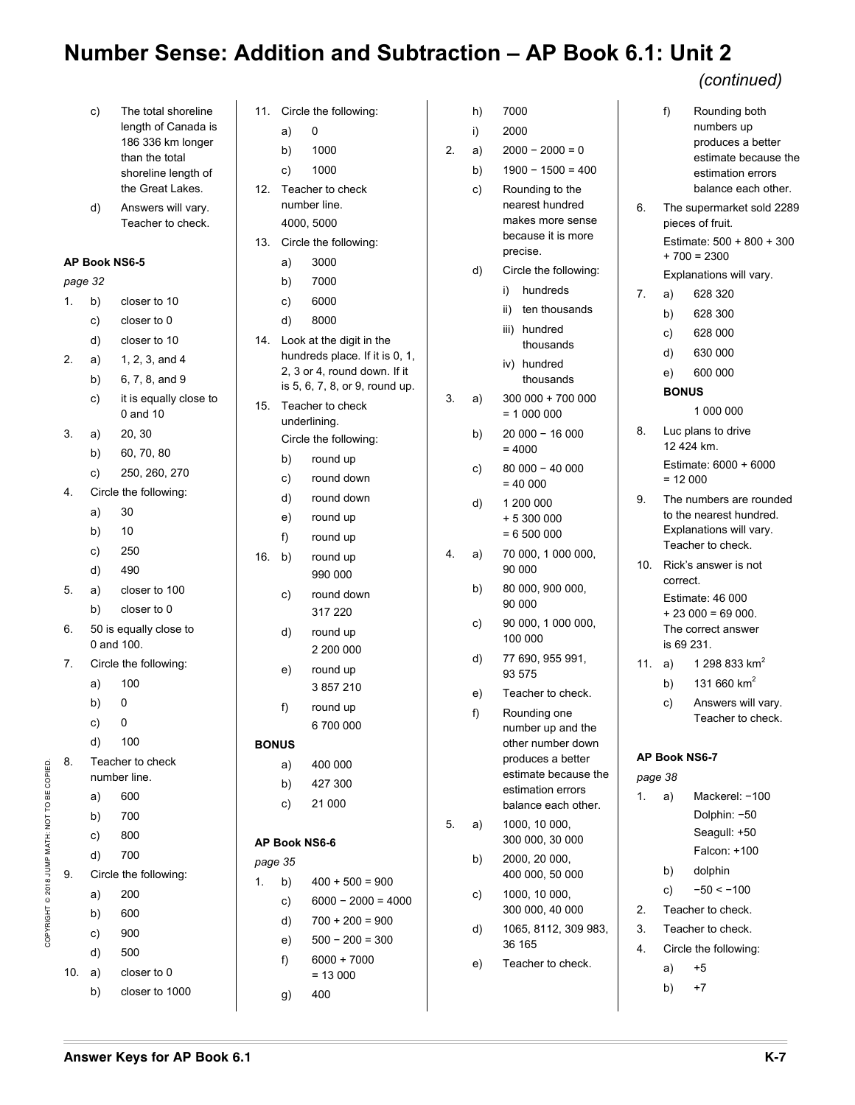|                                               |         | c)       | The total shoreline<br>length of Canada is<br>186 336 km longer<br>than the total<br>shoreline length of<br>the Great Lakes. | 11.<br>12. | a)<br>b)<br>C) | Circle the<br>0<br>1000<br>1000<br>Teacher to |
|-----------------------------------------------|---------|----------|------------------------------------------------------------------------------------------------------------------------------|------------|----------------|-----------------------------------------------|
|                                               |         | d)       | Answers will vary.<br>Teacher to check.                                                                                      |            |                | number lin<br>4000, 500                       |
|                                               |         |          |                                                                                                                              | 13.        |                | Circle the                                    |
|                                               |         |          | AP Book NS6-5                                                                                                                |            | a)             | 3000                                          |
|                                               | page 32 |          |                                                                                                                              |            | b)             | 7000                                          |
|                                               | 1.      | b)       | closer to 10<br>closer to 0                                                                                                  |            | c)             | 6000<br>8000                                  |
|                                               |         | c)<br>d) | closer to 10                                                                                                                 | 14.        | d)             | Look at the                                   |
|                                               | 2.      |          | 1, 2, 3, and 4                                                                                                               |            |                | hundreds                                      |
|                                               |         | a)       | 6, 7, 8, and 9                                                                                                               |            |                | 2, 3 or 4, n                                  |
|                                               |         | b)<br>c) | it is equally close to                                                                                                       |            |                | is 5, 6, 7, 8                                 |
|                                               |         |          | 0 and 10                                                                                                                     | 15.        |                | Teacher to                                    |
|                                               | 3.      | a)       | 20, 30                                                                                                                       |            |                | underlining<br>Circle the                     |
|                                               |         | b)       | 60, 70, 80                                                                                                                   |            |                |                                               |
|                                               |         | c)       | 250, 260, 270                                                                                                                |            | b)<br>c)       | roun<br>roun                                  |
|                                               | 4.      |          | Circle the following:                                                                                                        |            | d)             | roun                                          |
|                                               |         | a)       | 30                                                                                                                           |            | e)             | roun                                          |
|                                               |         | b)       | 10                                                                                                                           |            | f)             | roun                                          |
|                                               |         | c)       | 250                                                                                                                          | 16.        | b)             | roun                                          |
|                                               |         | d)       | 490                                                                                                                          |            |                | 990                                           |
|                                               | 5.      | a)       | closer to 100                                                                                                                |            | C)             | roun                                          |
|                                               |         | b)       | closer to 0                                                                                                                  |            |                | 317                                           |
|                                               | 6.      |          | 50 is equally close to<br>0 and 100.                                                                                         |            | d)             | roun<br>2 20                                  |
|                                               | 7.      |          | Circle the following:                                                                                                        |            | e)             | roun                                          |
|                                               |         | a)       | 100                                                                                                                          |            |                | 385                                           |
|                                               |         | b)       | 0                                                                                                                            |            | f)             | roun                                          |
|                                               |         | c)       | $\mathbf 0$                                                                                                                  |            |                | 6 70                                          |
|                                               |         | d)       | 100                                                                                                                          |            | <b>BONUS</b>   |                                               |
|                                               | 8.      |          | Teacher to check                                                                                                             |            | a)             | 400                                           |
|                                               |         |          | number line.                                                                                                                 |            | b)             | 427                                           |
|                                               |         | a)       | 600                                                                                                                          |            | C)             | 210                                           |
|                                               |         | b)       | 700                                                                                                                          |            |                |                                               |
|                                               |         | c)       | 800                                                                                                                          |            |                | AP Book NS6-6                                 |
|                                               |         | d)       | 700                                                                                                                          | page 35    |                |                                               |
|                                               | 9.      |          | Circle the following:                                                                                                        | 1.         | b)             | 400                                           |
|                                               |         | a)       | 200                                                                                                                          |            | c)             | 6000                                          |
|                                               |         | b)       | 600                                                                                                                          |            | d)             | 700                                           |
| COPYRIGHT © 2018 JUMP MATH: NOT TO BE COPIED. |         | c)       | 900                                                                                                                          |            | e)             | 500                                           |
|                                               |         | d)       | 500                                                                                                                          |            | f)             | 6000                                          |
|                                               | 10.     | a)       | closer to 0                                                                                                                  |            |                | $= 13$                                        |
|                                               |         | b)       | closer to 1000                                                                                                               |            | g)             | 400                                           |
|                                               |         |          |                                                                                                                              |            |                |                                               |

| 11.          | Circle the following: |                                                                                            |  |  |  |  |  |  |
|--------------|-----------------------|--------------------------------------------------------------------------------------------|--|--|--|--|--|--|
|              | a)                    | 0                                                                                          |  |  |  |  |  |  |
|              | b)                    | 1000                                                                                       |  |  |  |  |  |  |
|              | c)                    | 1000                                                                                       |  |  |  |  |  |  |
| 12.          | Teacher to check      |                                                                                            |  |  |  |  |  |  |
|              |                       | number line.                                                                               |  |  |  |  |  |  |
|              | 4000, 5000            |                                                                                            |  |  |  |  |  |  |
| 13.          |                       | Circle the following:                                                                      |  |  |  |  |  |  |
|              | a)                    | 3000                                                                                       |  |  |  |  |  |  |
|              | b)                    | 7000                                                                                       |  |  |  |  |  |  |
|              | c)                    | 6000                                                                                       |  |  |  |  |  |  |
|              | d)                    | 8000                                                                                       |  |  |  |  |  |  |
| 14.          |                       | Look at the digit in the<br>hundreds place. If it is 0, 1,<br>2, 3 or 4, round down. If it |  |  |  |  |  |  |
|              |                       | is 5, 6, 7, 8, or 9, round up.                                                             |  |  |  |  |  |  |
| 15.          |                       | Teacher to check                                                                           |  |  |  |  |  |  |
|              |                       | underlining.                                                                               |  |  |  |  |  |  |
|              |                       | Circle the following:                                                                      |  |  |  |  |  |  |
|              | b)<br>c)              | round up<br>round down                                                                     |  |  |  |  |  |  |
|              | d)                    | round down                                                                                 |  |  |  |  |  |  |
|              | e)                    | round up                                                                                   |  |  |  |  |  |  |
|              | f)                    | round up                                                                                   |  |  |  |  |  |  |
| 16.          | b)                    | round up                                                                                   |  |  |  |  |  |  |
|              |                       | 990 000                                                                                    |  |  |  |  |  |  |
|              | C)                    | round down                                                                                 |  |  |  |  |  |  |
|              |                       | 317 220                                                                                    |  |  |  |  |  |  |
|              | d)                    | round up                                                                                   |  |  |  |  |  |  |
|              |                       | 2 200 000                                                                                  |  |  |  |  |  |  |
|              | e)                    | round up                                                                                   |  |  |  |  |  |  |
|              |                       | 3 857 210                                                                                  |  |  |  |  |  |  |
|              | f)                    | round up                                                                                   |  |  |  |  |  |  |
|              |                       | 6 700 000                                                                                  |  |  |  |  |  |  |
| <b>BONUS</b> |                       |                                                                                            |  |  |  |  |  |  |
|              | a)                    | 400 000                                                                                    |  |  |  |  |  |  |
|              |                       | b) 427 300                                                                                 |  |  |  |  |  |  |
|              | C)                    | 21 000                                                                                     |  |  |  |  |  |  |
|              | AP Book NS6-6         |                                                                                            |  |  |  |  |  |  |
| page 35      |                       |                                                                                            |  |  |  |  |  |  |
| 1.           | b)                    | $400 + 500 = 900$                                                                          |  |  |  |  |  |  |
|              | c)                    | $6000 - 2000 = 4000$                                                                       |  |  |  |  |  |  |
|              | d)                    | $700 + 200 = 900$                                                                          |  |  |  |  |  |  |
|              | e)                    | $500 - 200 = 300$                                                                          |  |  |  |  |  |  |
|              | f)                    | $6000 + 7000$                                                                              |  |  |  |  |  |  |
|              |                       | $= 13000$                                                                                  |  |  |  |  |  |  |
|              | g)                    | 400                                                                                        |  |  |  |  |  |  |

|    | h) | 7000                                                                                                                                            |                |
|----|----|-------------------------------------------------------------------------------------------------------------------------------------------------|----------------|
|    | i) | 2000                                                                                                                                            |                |
| 2. | a) | $2000 - 2000 = 0$                                                                                                                               |                |
|    | b) | $1900 - 1500 = 400$                                                                                                                             |                |
|    | c) | Rounding to the<br>nearest hundred<br>makes more sense<br>because it is more<br>precise.                                                        | 6.             |
|    | d) | Circle the following:                                                                                                                           |                |
|    |    | hundreds<br>i)                                                                                                                                  | 7.             |
|    |    | ii)<br>ten thousands                                                                                                                            |                |
|    |    | iii)<br>hundred<br>thousands                                                                                                                    |                |
|    |    | iv)<br>hundred<br>thousands                                                                                                                     |                |
| 3. | a) | 300 000 + 700 000<br>$= 1000000$                                                                                                                |                |
|    | b) | 20 000 - 16 000<br>$= 4000$                                                                                                                     | 8.             |
|    | C) | $80000 - 40000$<br>$= 40000$                                                                                                                    |                |
|    | d) | 1 200 000<br>+ 5 300 000<br>$= 6500000$                                                                                                         | 9.             |
| 4. | a) | 70 000, 1 000 000,<br>90 000                                                                                                                    | 10             |
|    | b) | 80 000, 900 000,<br>90 000                                                                                                                      |                |
|    | c) | 90 000, 1 000 000,<br>100 000                                                                                                                   |                |
|    | d) | 77 690, 955 991,<br>93 575                                                                                                                      | 11             |
|    | e) | Teacher to check.                                                                                                                               |                |
|    | f) | Rounding one<br>number up and the<br>other number down<br>produces a better<br>estimate because the<br>estimation errors<br>balance each other. | Al<br>рa<br>1. |
| 5. | a) | 1000, 10 000,<br>300 000, 30 000                                                                                                                |                |
|    | b) | 2000, 20 000,<br>400 000, 50 000                                                                                                                |                |
|    | c) | 1000, 10 000,<br>300 000, 40 000                                                                                                                | 2.             |
|    | d) | 1065, 8112, 309 983,<br>36 165                                                                                                                  | 3.<br>4.       |
|    | e) | Teacher to check.                                                                                                                               |                |
|    |    |                                                                                                                                                 |                |

#### *(continued)*

|         | f)                                                                                          | Rounding both<br>numbers up<br>produces a better<br>estimate because the<br>estimation errors<br>balance each other. |  |  |  |  |  |  |
|---------|---------------------------------------------------------------------------------------------|----------------------------------------------------------------------------------------------------------------------|--|--|--|--|--|--|
| 6.      | The supermarket sold 2289<br>pieces of fruit.<br>Estimate: 500 + 800 + 300<br>$+700 = 2300$ |                                                                                                                      |  |  |  |  |  |  |
|         |                                                                                             | Explanations will vary.                                                                                              |  |  |  |  |  |  |
| 7.      | a)                                                                                          | 628 320                                                                                                              |  |  |  |  |  |  |
|         | b)                                                                                          | 628 300                                                                                                              |  |  |  |  |  |  |
|         | c)                                                                                          | 628 000                                                                                                              |  |  |  |  |  |  |
|         | d)                                                                                          | 630 000                                                                                                              |  |  |  |  |  |  |
|         | e)                                                                                          | 600 000                                                                                                              |  |  |  |  |  |  |
|         | <b>BONUS</b>                                                                                |                                                                                                                      |  |  |  |  |  |  |
|         |                                                                                             | 1 000 000                                                                                                            |  |  |  |  |  |  |
| 8.      | Luc plans to drive<br>12 424 km.                                                            |                                                                                                                      |  |  |  |  |  |  |
|         | Estimate: 6000 + 6000<br>$= 12000$                                                          |                                                                                                                      |  |  |  |  |  |  |
| 9.      |                                                                                             | The numbers are rounded<br>to the nearest hundred.<br>Explanations will vary.<br>Teacher to check.                   |  |  |  |  |  |  |
| 10.     | correct.                                                                                    | Rick's answer is not                                                                                                 |  |  |  |  |  |  |
|         | is 69 231.                                                                                  | Estimate: 46 000<br>$+23000 = 69000$ .<br>The correct answer                                                         |  |  |  |  |  |  |
| 11.     | a)                                                                                          | 1 298 833 km <sup>2</sup>                                                                                            |  |  |  |  |  |  |
|         | b)                                                                                          | 131 660 km <sup>2</sup>                                                                                              |  |  |  |  |  |  |
|         | C)                                                                                          | Answers will vary.<br>Teacher to check.                                                                              |  |  |  |  |  |  |
|         | AP Book NS6-7                                                                               |                                                                                                                      |  |  |  |  |  |  |
| page 38 |                                                                                             |                                                                                                                      |  |  |  |  |  |  |
| 1.      | a)                                                                                          | Mackerel: -100                                                                                                       |  |  |  |  |  |  |
|         |                                                                                             | Dolphin: -50                                                                                                         |  |  |  |  |  |  |
|         |                                                                                             | Seagull: +50                                                                                                         |  |  |  |  |  |  |
|         |                                                                                             | Falcon: +100                                                                                                         |  |  |  |  |  |  |

- Teacher to check.
	- Teacher to check.

 b) dolphin c)  $-50 < -100$ 

- Circle the following:
	- a) +5
	- b) +7